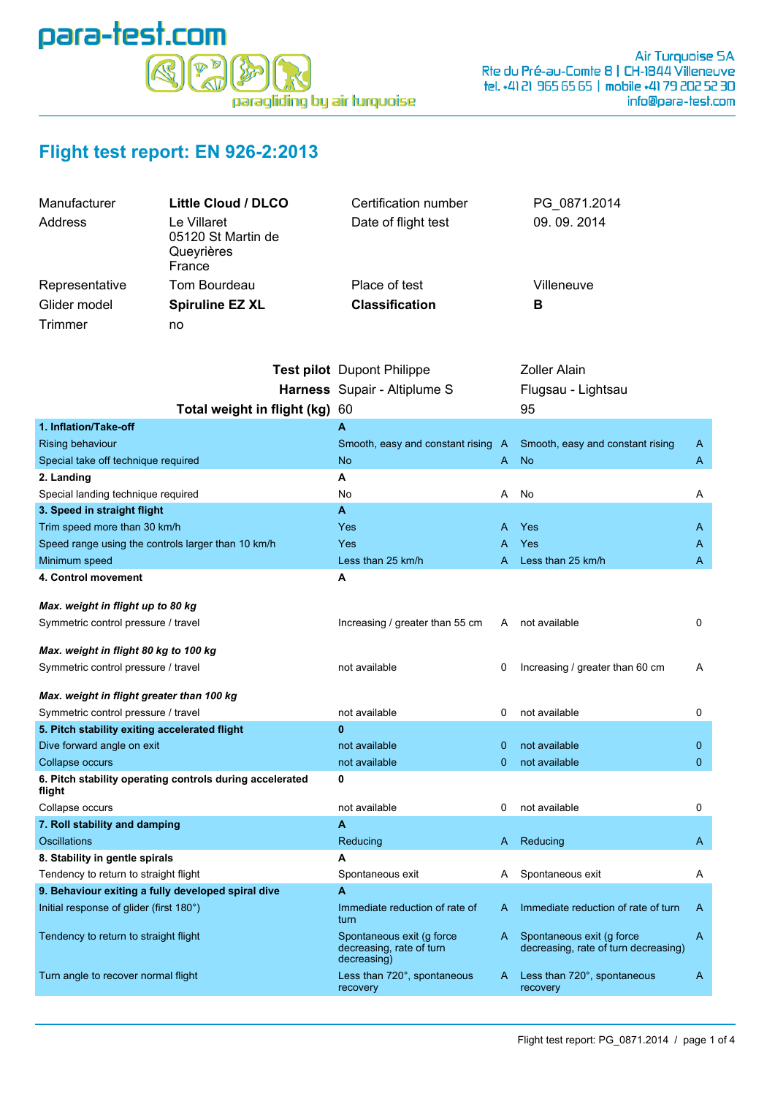

## **Flight test report: EN 926-2:2013**

| Manufacturer   | Little Cloud / DLCO                                       | Certification number  | PG 0871.2014 |
|----------------|-----------------------------------------------------------|-----------------------|--------------|
| Address        | Le Villaret<br>05120 St Martin de<br>Queyrières<br>France | Date of flight test   | 09.09.2014   |
| Representative | Tom Bourdeau                                              | Place of test         | Villeneuve   |
| Glider model   | <b>Spiruline EZ XL</b>                                    | <b>Classification</b> | в            |
| Trimmer        | no                                                        |                       |              |

|                                                                    | Test pilot Dupont Philippe                                           |              | <b>Zoller Alain</b>                                               |              |
|--------------------------------------------------------------------|----------------------------------------------------------------------|--------------|-------------------------------------------------------------------|--------------|
|                                                                    | Harness Supair - Altiplume S                                         |              | Flugsau - Lightsau                                                |              |
| Total weight in flight (kg) 60                                     |                                                                      |              | 95                                                                |              |
| 1. Inflation/Take-off                                              | A                                                                    |              |                                                                   |              |
| <b>Rising behaviour</b>                                            | Smooth, easy and constant rising                                     | A            | Smooth, easy and constant rising                                  | A            |
| Special take off technique required                                | <b>No</b>                                                            | A            | <b>No</b>                                                         | A            |
| 2. Landing                                                         | А                                                                    |              |                                                                   |              |
| Special landing technique required                                 | No                                                                   | A            | No                                                                | Α            |
| 3. Speed in straight flight                                        | A                                                                    |              |                                                                   |              |
| Trim speed more than 30 km/h                                       | Yes                                                                  | A            | Yes                                                               | A            |
| Speed range using the controls larger than 10 km/h                 | Yes                                                                  | А            | Yes                                                               | A            |
| Minimum speed                                                      | Less than 25 km/h                                                    | A            | Less than 25 km/h                                                 | A            |
| 4. Control movement                                                | Α                                                                    |              |                                                                   |              |
|                                                                    |                                                                      |              |                                                                   |              |
| Max. weight in flight up to 80 kg                                  |                                                                      |              |                                                                   |              |
| Symmetric control pressure / travel                                | Increasing / greater than 55 cm                                      | A            | not available                                                     | 0            |
| Max. weight in flight 80 kg to 100 kg                              |                                                                      |              |                                                                   |              |
| Symmetric control pressure / travel                                | not available                                                        | 0            | Increasing / greater than 60 cm                                   | A            |
|                                                                    |                                                                      |              |                                                                   |              |
| Max. weight in flight greater than 100 kg                          |                                                                      |              |                                                                   |              |
| Symmetric control pressure / travel                                | not available                                                        | 0            | not available                                                     | 0            |
| 5. Pitch stability exiting accelerated flight                      | $\bf{0}$                                                             |              |                                                                   |              |
| Dive forward angle on exit                                         | not available                                                        | $\mathbf{0}$ | not available                                                     | $\mathbf 0$  |
| Collapse occurs                                                    | not available                                                        | $\mathbf{0}$ | not available                                                     | $\mathbf{0}$ |
| 6. Pitch stability operating controls during accelerated<br>flight | $\mathbf 0$                                                          |              |                                                                   |              |
| Collapse occurs                                                    | not available                                                        | 0            | not available                                                     | 0            |
| 7. Roll stability and damping                                      | A                                                                    |              |                                                                   |              |
| Oscillations                                                       | Reducing                                                             | A            | Reducing                                                          | A            |
| 8. Stability in gentle spirals                                     | A                                                                    |              |                                                                   |              |
| Tendency to return to straight flight                              | Spontaneous exit                                                     | A            | Spontaneous exit                                                  | A            |
| 9. Behaviour exiting a fully developed spiral dive                 | A                                                                    |              |                                                                   |              |
| Initial response of glider (first 180°)                            | Immediate reduction of rate of<br>turn                               | A            | Immediate reduction of rate of turn                               | A            |
| Tendency to return to straight flight                              | Spontaneous exit (g force<br>decreasing, rate of turn<br>decreasing) | A            | Spontaneous exit (q force<br>decreasing, rate of turn decreasing) | A            |
| Turn angle to recover normal flight                                | Less than 720°, spontaneous<br>recovery                              | A            | Less than 720°, spontaneous<br>recovery                           | A            |
|                                                                    |                                                                      |              |                                                                   |              |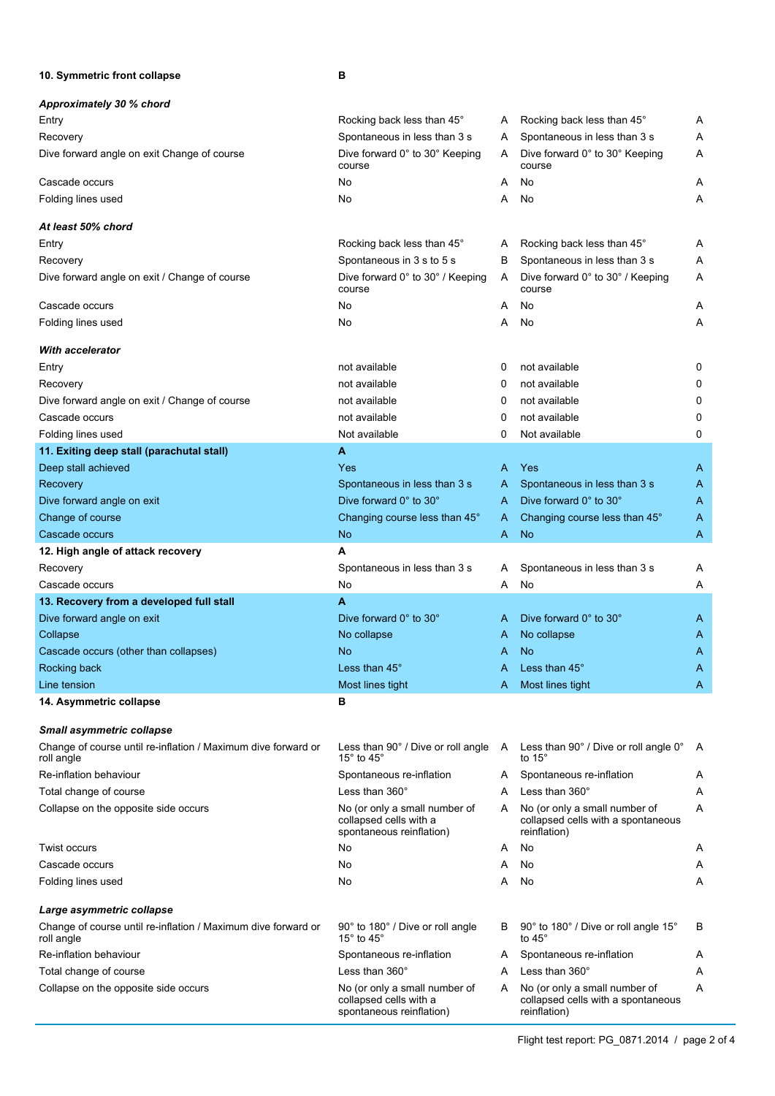**10. Symmetric front collapse B**

| Approximately 30 % chord                                                    |                                                                                             |   |                                                                                     |   |
|-----------------------------------------------------------------------------|---------------------------------------------------------------------------------------------|---|-------------------------------------------------------------------------------------|---|
| Entry                                                                       | Rocking back less than 45°                                                                  | A | Rocking back less than 45°                                                          | Α |
| Recovery                                                                    | Spontaneous in less than 3 s                                                                | A | Spontaneous in less than 3 s                                                        | Α |
| Dive forward angle on exit Change of course                                 | Dive forward 0° to 30° Keeping<br>course                                                    | A | Dive forward 0° to 30° Keeping<br>course                                            | Α |
| Cascade occurs                                                              | No                                                                                          | A | No                                                                                  | Α |
| Folding lines used                                                          | No                                                                                          | A | No                                                                                  | Α |
| At least 50% chord                                                          |                                                                                             |   |                                                                                     |   |
| Entry                                                                       | Rocking back less than 45°                                                                  | A | Rocking back less than 45°                                                          | Α |
| Recovery                                                                    | Spontaneous in 3 s to 5 s                                                                   | B | Spontaneous in less than 3 s                                                        | Α |
| Dive forward angle on exit / Change of course                               | Dive forward 0° to 30° / Keeping<br>course                                                  | A | Dive forward 0° to 30° / Keeping<br>course                                          | Α |
| Cascade occurs                                                              | No                                                                                          | A | No                                                                                  | Α |
| Folding lines used                                                          | No                                                                                          | A | No                                                                                  | Α |
| <b>With accelerator</b>                                                     |                                                                                             |   |                                                                                     |   |
| Entry                                                                       | not available                                                                               | 0 | not available                                                                       | 0 |
| Recovery                                                                    | not available                                                                               | 0 | not available                                                                       | 0 |
| Dive forward angle on exit / Change of course                               | not available                                                                               | 0 | not available                                                                       | 0 |
| Cascade occurs                                                              | not available                                                                               | 0 | not available                                                                       | 0 |
| Folding lines used                                                          | Not available                                                                               | 0 | Not available                                                                       | 0 |
| 11. Exiting deep stall (parachutal stall)                                   | A                                                                                           |   |                                                                                     |   |
| Deep stall achieved                                                         | Yes                                                                                         | A | Yes                                                                                 | A |
| Recovery                                                                    | Spontaneous in less than 3 s                                                                | A | Spontaneous in less than 3 s                                                        | A |
| Dive forward angle on exit                                                  | Dive forward 0° to 30°                                                                      | A | Dive forward 0° to 30°                                                              | A |
| Change of course                                                            | Changing course less than 45°                                                               | A | Changing course less than 45°                                                       | A |
| Cascade occurs                                                              | <b>No</b>                                                                                   | A | <b>No</b>                                                                           | A |
| 12. High angle of attack recovery                                           | A                                                                                           |   |                                                                                     |   |
| Recovery                                                                    | Spontaneous in less than 3 s                                                                | A | Spontaneous in less than 3 s                                                        | Α |
| Cascade occurs                                                              | No                                                                                          | A | No                                                                                  | Α |
| 13. Recovery from a developed full stall                                    | A                                                                                           |   |                                                                                     |   |
| Dive forward angle on exit                                                  | Dive forward 0° to 30°                                                                      | A | Dive forward 0° to 30°                                                              | A |
| Collapse                                                                    | No collapse                                                                                 | A | No collapse                                                                         | A |
| Cascade occurs (other than collapses)                                       | No                                                                                          | A | <b>No</b>                                                                           | A |
| Rocking back                                                                | Less than 45°                                                                               | A | Less than 45°                                                                       | A |
| Line tension                                                                | Most lines tight                                                                            | A | Most lines tight                                                                    | A |
| 14. Asymmetric collapse                                                     | в                                                                                           |   |                                                                                     |   |
| <b>Small asymmetric collapse</b>                                            |                                                                                             |   |                                                                                     |   |
| Change of course until re-inflation / Maximum dive forward or<br>roll angle | Less than $90^\circ$ / Dive or roll angle $\phantom{1}$ A<br>15 $^{\circ}$ to 45 $^{\circ}$ |   | Less than 90° / Dive or roll angle 0°<br>to 15 $^{\circ}$                           | A |
| Re-inflation behaviour                                                      | Spontaneous re-inflation                                                                    | A | Spontaneous re-inflation                                                            | A |
| Total change of course                                                      | Less than $360^\circ$                                                                       | A | Less than 360°                                                                      | Α |
| Collapse on the opposite side occurs                                        | No (or only a small number of<br>collapsed cells with a<br>spontaneous reinflation)         | A | No (or only a small number of<br>collapsed cells with a spontaneous<br>reinflation) | Α |
| <b>Twist occurs</b>                                                         | No                                                                                          | A | No                                                                                  | A |
| Cascade occurs                                                              | No                                                                                          | A | No                                                                                  | A |
| Folding lines used                                                          | No                                                                                          | A | No                                                                                  | Α |
| Large asymmetric collapse                                                   |                                                                                             |   |                                                                                     |   |
| Change of course until re-inflation / Maximum dive forward or<br>roll angle | 90° to 180° / Dive or roll angle<br>15 $^{\circ}$ to 45 $^{\circ}$                          | В | 90° to 180° / Dive or roll angle 15°<br>to $45^\circ$                               | В |
| Re-inflation behaviour                                                      | Spontaneous re-inflation                                                                    | A | Spontaneous re-inflation                                                            | A |
| Total change of course                                                      | Less than $360^\circ$                                                                       | A | Less than 360°                                                                      | Α |
| Collapse on the opposite side occurs                                        | No (or only a small number of<br>collapsed cells with a<br>spontaneous reinflation)         | A | No (or only a small number of<br>collapsed cells with a spontaneous<br>reinflation) | Α |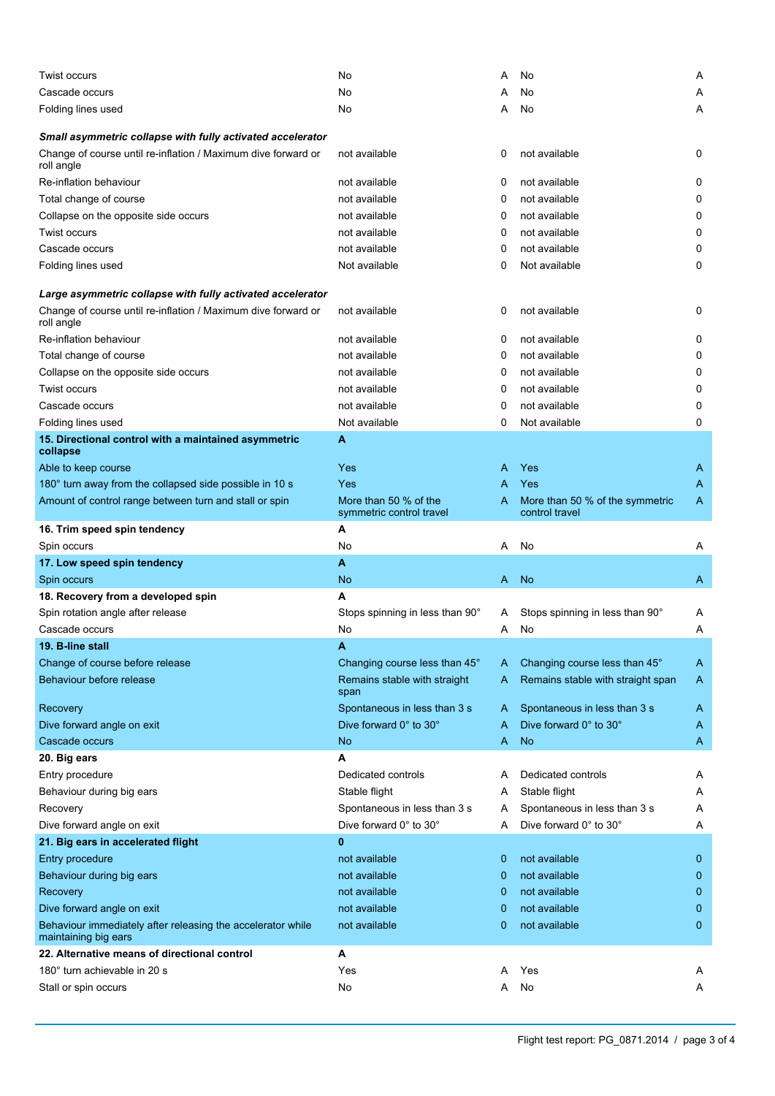| Twist occurs                                                                        | No                                                | A | No                                                | Α            |
|-------------------------------------------------------------------------------------|---------------------------------------------------|---|---------------------------------------------------|--------------|
| Cascade occurs                                                                      | No                                                |   | No                                                | Α            |
| Folding lines used                                                                  | No                                                | Α | No                                                | A            |
|                                                                                     |                                                   |   |                                                   |              |
| Small asymmetric collapse with fully activated accelerator                          |                                                   |   |                                                   |              |
| Change of course until re-inflation / Maximum dive forward or<br>roll angle         | not available                                     | 0 | not available                                     | 0            |
| Re-inflation behaviour                                                              | not available                                     | 0 | not available                                     | 0            |
| Total change of course                                                              | not available                                     | 0 | not available                                     | 0            |
| Collapse on the opposite side occurs                                                | not available                                     | 0 | not available                                     | 0            |
| Twist occurs                                                                        | not available                                     | 0 | not available                                     | 0            |
| Cascade occurs                                                                      | not available                                     | 0 | not available                                     | 0            |
| Folding lines used                                                                  | Not available                                     | 0 | Not available                                     | 0            |
|                                                                                     |                                                   |   |                                                   |              |
| Large asymmetric collapse with fully activated accelerator                          |                                                   |   |                                                   |              |
| Change of course until re-inflation / Maximum dive forward or<br>roll angle         | not available                                     | 0 | not available                                     | 0            |
| Re-inflation behaviour                                                              | not available                                     | 0 | not available                                     | 0            |
| Total change of course                                                              | not available                                     | 0 | not available                                     | 0            |
| Collapse on the opposite side occurs                                                | not available                                     | 0 | not available                                     | 0            |
| <b>Twist occurs</b>                                                                 | not available                                     | 0 | not available                                     | 0            |
| Cascade occurs                                                                      | not available                                     | 0 | not available                                     | 0            |
| Folding lines used                                                                  | Not available                                     | 0 | Not available                                     | 0            |
| 15. Directional control with a maintained asymmetric                                | A                                                 |   |                                                   |              |
| collapse                                                                            |                                                   |   |                                                   |              |
| Able to keep course                                                                 | <b>Yes</b>                                        | A | <b>Yes</b>                                        | A            |
| 180° turn away from the collapsed side possible in 10 s                             | Yes                                               | A | Yes                                               | A            |
| Amount of control range between turn and stall or spin                              | More than 50 % of the<br>symmetric control travel | A | More than 50 % of the symmetric<br>control travel | A            |
| 16. Trim speed spin tendency                                                        | A                                                 |   |                                                   |              |
| Spin occurs                                                                         | No                                                | Α | No                                                | Α            |
|                                                                                     |                                                   |   |                                                   |              |
| 17. Low speed spin tendency                                                         | A                                                 |   |                                                   |              |
| Spin occurs                                                                         | No                                                | A | <b>No</b>                                         | A            |
| 18. Recovery from a developed spin                                                  | A                                                 |   |                                                   |              |
| Spin rotation angle after release                                                   | Stops spinning in less than 90°                   | A | Stops spinning in less than 90°                   | A            |
| Cascade occurs                                                                      | No                                                | A | No                                                | Α            |
| 19. B-line stall                                                                    | A                                                 |   |                                                   |              |
| Change of course before release                                                     | Changing course less than 45°                     | A | Changing course less than 45°                     | A            |
| Behaviour before release                                                            | Remains stable with straight<br>span              | A | Remains stable with straight span                 | A            |
| Recovery                                                                            | Spontaneous in less than 3 s                      | A | Spontaneous in less than 3 s                      | A            |
| Dive forward angle on exit                                                          | Dive forward 0° to 30°                            | A | Dive forward 0° to 30°                            | A            |
| Cascade occurs                                                                      | No                                                | A | <b>No</b>                                         | A            |
| 20. Big ears                                                                        | Α                                                 |   |                                                   |              |
| Entry procedure                                                                     | Dedicated controls                                | A | Dedicated controls                                | A            |
| Behaviour during big ears                                                           | Stable flight                                     | A | Stable flight                                     | Α            |
| Recovery                                                                            | Spontaneous in less than 3 s                      | A | Spontaneous in less than 3 s                      | Α            |
| Dive forward angle on exit                                                          | Dive forward 0° to 30°                            | A | Dive forward 0° to 30°                            | Α            |
| 21. Big ears in accelerated flight                                                  | $\bf{0}$                                          |   |                                                   |              |
| Entry procedure                                                                     | not available                                     | 0 | not available                                     | 0            |
| Behaviour during big ears                                                           | not available                                     | 0 | not available                                     | $\mathbf 0$  |
| Recovery                                                                            | not available                                     | 0 | not available                                     | 0            |
| Dive forward angle on exit                                                          | not available                                     | 0 | not available                                     | 0            |
| Behaviour immediately after releasing the accelerator while<br>maintaining big ears | not available                                     | 0 | not available                                     | $\mathbf{0}$ |
| 22. Alternative means of directional control                                        | Α                                                 |   |                                                   |              |
| 180° turn achievable in 20 s                                                        | Yes                                               | A | Yes                                               | A            |
| Stall or spin occurs                                                                | No                                                | A | No                                                | Α            |